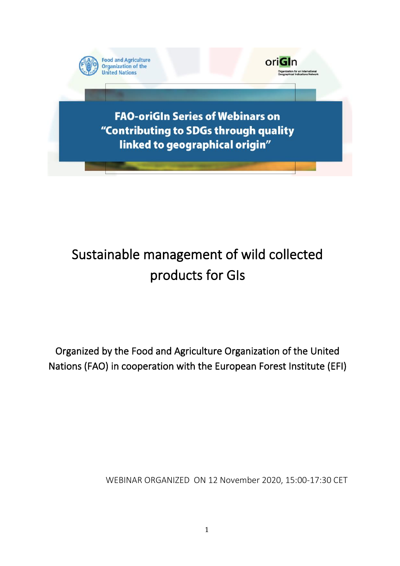

# Sustainable management of wild collected products for GIs

Organized by the Food and Agriculture Organization of the United Nations (FAO) in cooperation with the European Forest Institute (EFI)

WEBINAR ORGANIZED ON 12 November 2020, 15:00-17:30 CET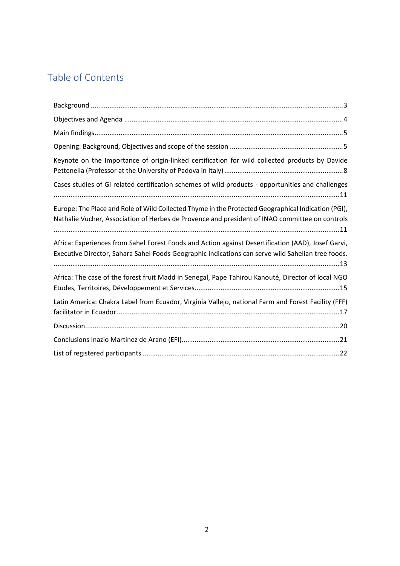### Table of Contents

| Keynote on the Importance of origin-linked certification for wild collected products by Davide                                                                                                          |
|---------------------------------------------------------------------------------------------------------------------------------------------------------------------------------------------------------|
| Cases studies of GI related certification schemes of wild products - opportunities and challenges                                                                                                       |
| Europe: The Place and Role of Wild Collected Thyme in the Protected Geographical Indication (PGI),<br>Nathalie Vucher, Association of Herbes de Provence and president of INAO committee on controls    |
| Africa: Experiences from Sahel Forest Foods and Action against Desertification (AAD), Josef Garvi,<br>Executive Director, Sahara Sahel Foods Geographic indications can serve wild Sahelian tree foods. |
| Africa: The case of the forest fruit Madd in Senegal, Pape Tahirou Kanouté, Director of local NGO                                                                                                       |
| Latin America: Chakra Label from Ecuador, Virginia Vallejo, national Farm and Forest Facility (FFF)                                                                                                     |
|                                                                                                                                                                                                         |
|                                                                                                                                                                                                         |
|                                                                                                                                                                                                         |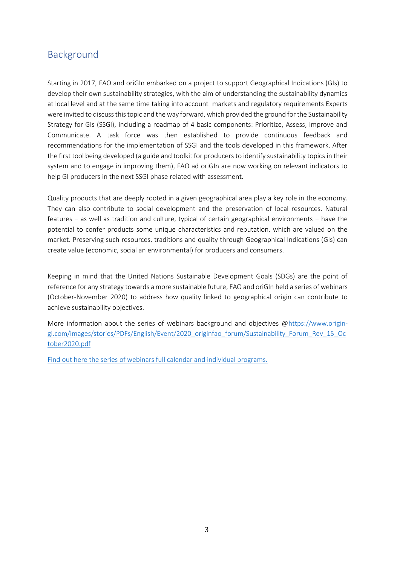### <span id="page-2-0"></span>Background

Starting in 2017, FAO and oriGIn embarked on a project to support Geographical Indications (GIs) to develop their own sustainability strategies, with the aim of understanding the sustainability dynamics at local level and at the same time taking into account markets and regulatory requirements Experts were invited to discuss this topic and the way forward, which provided the ground for the Sustainability Strategy for GIs (SSGI), including a roadmap of 4 basic components: Prioritize, Assess, Improve and Communicate. A task force was then established to provide continuous feedback and recommendations for the implementation of SSGI and the tools developed in this framework. After the first tool being developed (a guide and toolkit for producers to identify sustainability topics in their system and to engage in improving them), FAO ad oriGIn are now working on relevant indicators to help GI producers in the next SSGI phase related with assessment.

Quality products that are deeply rooted in a given geographical area play a key role in the economy. They can also contribute to social development and the preservation of local resources. Natural features – as well as tradition and culture, typical of certain geographical environments – have the potential to confer products some unique characteristics and reputation, which are valued on the market. Preserving such resources, traditions and quality through Geographical Indications (GIs) can create value (economic, social an environmental) for producers and consumers.

Keeping in mind that the United Nations Sustainable Development Goals (SDGs) are the point of reference for any strategy towards a more sustainable future, FAO and oriGIn held a series of webinars (October-November 2020) to address how quality linked to geographical origin can contribute to achieve sustainability objectives.

More information about the series of webinars background and objectives [@https://www.origin](https://www.origin-gi.com/images/stories/PDFs/English/Event/2020_originfao_forum/Sustainability_Forum_Rev_15_October2020.pdf)[gi.com/images/stories/PDFs/English/Event/2020\\_originfao\\_forum/Sustainability\\_Forum\\_Rev\\_15\\_Oc](https://www.origin-gi.com/images/stories/PDFs/English/Event/2020_originfao_forum/Sustainability_Forum_Rev_15_October2020.pdf) [tober2020.pdf](https://www.origin-gi.com/images/stories/PDFs/English/Event/2020_originfao_forum/Sustainability_Forum_Rev_15_October2020.pdf)

[Find out here the series of webinars full calendar and individual programs.](https://www.origin-gi.com/117-uk/news/15320-02-12-2020-fao-origin-series-of-webinars-on-contributing-to-sdgs-through-quality-linked-to-geographical-origin.html)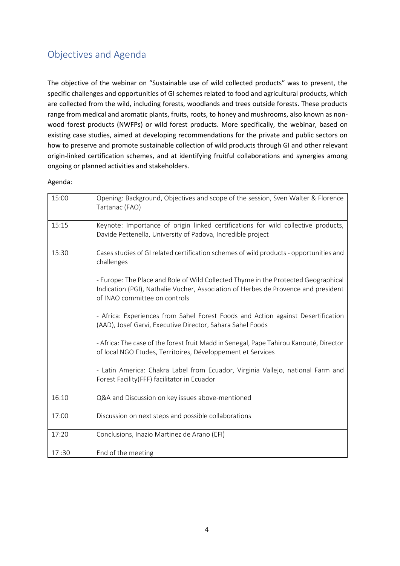### <span id="page-3-0"></span>Objectives and Agenda

The objective of the webinar on "Sustainable use of wild collected products" was to present, the specific challenges and opportunities of GI schemes related to food and agricultural products, which are collected from the wild, including forests, woodlands and trees outside forests. These products range from medical and aromatic plants, fruits, roots, to honey and mushrooms, also known as nonwood forest products (NWFPs) or wild forest products. More specifically, the webinar, based on existing case studies, aimed at developing recommendations for the private and public sectors on how to preserve and promote sustainable collection of wild products through GI and other relevant origin-linked certification schemes, and at identifying fruitful collaborations and synergies among ongoing or planned activities and stakeholders.

#### Agenda:

| 15:00 | Opening: Background, Objectives and scope of the session, Sven Walter & Florence<br>Tartanac (FAO)                                                                                                        |
|-------|-----------------------------------------------------------------------------------------------------------------------------------------------------------------------------------------------------------|
| 15:15 | Keynote: Importance of origin linked certifications for wild collective products,<br>Davide Pettenella, University of Padova, Incredible project                                                          |
| 15:30 | Cases studies of GI related certification schemes of wild products - opportunities and<br>challenges                                                                                                      |
|       | - Europe: The Place and Role of Wild Collected Thyme in the Protected Geographical<br>Indication (PGI), Nathalie Vucher, Association of Herbes de Provence and president<br>of INAO committee on controls |
|       | - Africa: Experiences from Sahel Forest Foods and Action against Desertification<br>(AAD), Josef Garvi, Executive Director, Sahara Sahel Foods                                                            |
|       | - Africa: The case of the forest fruit Madd in Senegal, Pape Tahirou Kanouté, Director<br>of local NGO Etudes, Territoires, Développement et Services                                                     |
|       | - Latin America: Chakra Label from Ecuador, Virginia Vallejo, national Farm and<br>Forest Facility(FFF) facilitator in Ecuador                                                                            |
| 16:10 | Q&A and Discussion on key issues above-mentioned                                                                                                                                                          |
| 17:00 | Discussion on next steps and possible collaborations                                                                                                                                                      |
| 17:20 | Conclusions, Inazio Martinez de Arano (EFI)                                                                                                                                                               |
| 17:30 | End of the meeting                                                                                                                                                                                        |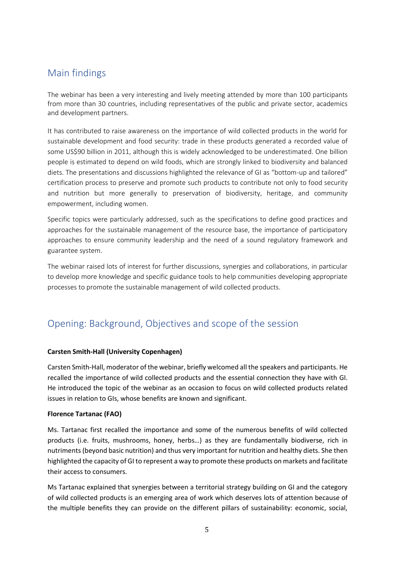### <span id="page-4-0"></span>Main findings

The webinar has been a very interesting and lively meeting attended by more than 100 participants from more than 30 countries, including representatives of the public and private sector, academics and development partners.

It has contributed to raise awareness on the importance of wild collected products in the world for sustainable development and food security: trade in these products generated a recorded value of some US\$90 billion in 2011, although this is widely acknowledged to be underestimated. One billion people is estimated to depend on wild foods, which are strongly linked to biodiversity and balanced diets. The presentations and discussions highlighted the relevance of GI as "bottom-up and tailored" certification process to preserve and promote such products to contribute not only to food security and nutrition but more generally to preservation of biodiversity, heritage, and community empowerment, including women.

Specific topics were particularly addressed, such as the specifications to define good practices and approaches for the sustainable management of the resource base, the importance of participatory approaches to ensure community leadership and the need of a sound regulatory framework and guarantee system.

The webinar raised lots of interest for further discussions, synergies and collaborations, in particular to develop more knowledge and specific guidance tools to help communities developing appropriate processes to promote the sustainable management of wild collected products.

### <span id="page-4-1"></span>Opening: Background, Objectives and scope of the session

#### **Carsten Smith-Hall (University Copenhagen)**

Carsten Smith-Hall, moderator of the webinar, briefly welcomed all the speakers and participants. He recalled the importance of wild collected products and the essential connection they have with GI. He introduced the topic of the webinar as an occasion to focus on wild collected products related issues in relation to GIs, whose benefits are known and significant.

#### **Florence Tartanac (FAO)**

Ms. Tartanac first recalled the importance and some of the numerous benefits of wild collected products (i.e. fruits, mushrooms, honey, herbs…) as they are fundamentally biodiverse, rich in nutriments (beyond basic nutrition) and thus very important for nutrition and healthy diets. She then highlighted the capacity of GI to represent a way to promote these products on markets and facilitate their access to consumers.

Ms Tartanac explained that synergies between a territorial strategy building on GI and the category of wild collected products is an emerging area of work which deserves lots of attention because of the multiple benefits they can provide on the different pillars of sustainability: economic, social,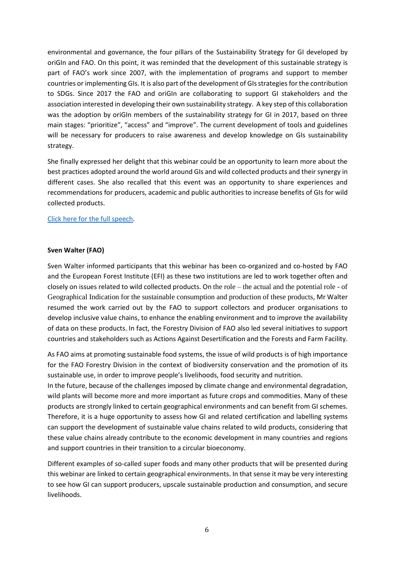environmental and governance, the four pillars of the Sustainability Strategy for GI developed by oriGIn and FAO. On this point, it was reminded that the development of this sustainable strategy is part of FAO's work since 2007, with the implementation of programs and support to member countries or implementing GIs. It is also part of the development of GIs strategies for the contribution to SDGs. Since 2017 the FAO and oriGIn are collaborating to support GI stakeholders and the association interested in developing their own sustainability strategy. A key step of this collaboration was the adoption by oriGIn members of the sustainability strategy for GI in 2017, based on three main stages: "prioritize", "access" and "improve". The current development of tools and guidelines will be necessary for producers to raise awareness and develop knowledge on GIs sustainability strategy.

She finally expressed her delight that this webinar could be an opportunity to learn more about the best practices adopted around the world around GIs and wild collected products and their synergy in different cases. She also recalled that this event was an opportunity to share experiences and recommendations for producers, academic and public authorities to increase benefits of GIs for wild collected products.

#### [Click here for the full speech.](https://www.origin-gi.com/images/stories/PDFs/English/PPT/oriGIn-FAO_Series_of_webinars_2020-PPT/Opening_speech-wildProduct-tartanac.pdf)

#### **Sven Walter (FAO)**

Sven Walter informed participants that this webinar has been co-organized and co-hosted by FAO and the European Forest Institute (EFI) as these two institutions are led to work together often and closely on issues related to wild collected products. On the role – the actual and the potential role - of Geographical Indication for the sustainable consumption and production of these products, Mr Walter resumed the work carried out by the FAO to support collectors and producer organisations to develop inclusive value chains, to enhance the enabling environment and to improve the availability of data on these products. In fact, the Forestry Division of FAO also led several initiatives to support countries and stakeholders such as Actions Against Desertification and the Forests and Farm Facility.

As FAO aims at promoting sustainable food systems, the issue of wild products is of high importance for the FAO Forestry Division in the context of biodiversity conservation and the promotion of its sustainable use, in order to improve people's livelihoods, food security and nutrition.

In the future, because of the challenges imposed by climate change and environmental degradation, wild plants will become more and more important as future crops and commodities. Many of these products are strongly linked to certain geographical environments and can benefit from GI schemes. Therefore, it is a huge opportunity to assess how GI and related certification and labelling systems can support the development of sustainable value chains related to wild products, considering that these value chains already contribute to the economic development in many countries and regions and support countries in their transition to a circular bioeconomy.

Different examples of so-called super foods and many other products that will be presented during this webinar are linked to certain geographical environments. In that sense it may be very interesting to see how GI can support producers, upscale sustainable production and consumption, and secure livelihoods.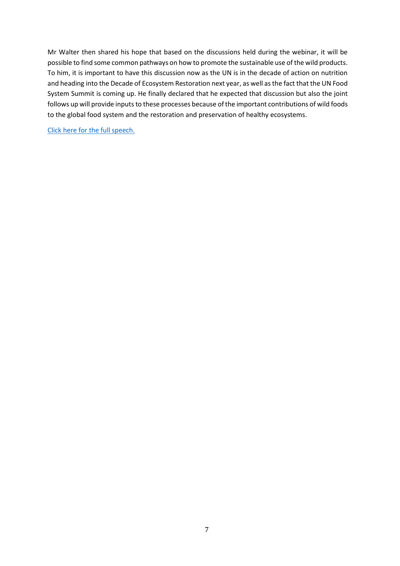Mr Walter then shared his hope that based on the discussions held during the webinar, it will be possible to find some common pathways on how to promote the sustainable use of the wild products. To him, it is important to have this discussion now as the UN is in the decade of action on nutrition and heading into the Decade of Ecosystem Restoration next year, as well as the fact that the UN Food System Summit is coming up. He finally declared that he expected that discussion but also the joint follows up will provide inputs to these processes because of the important contributions of wild foods to the global food system and the restoration and preservation of healthy ecosystems.

[Click here for the full speech.](https://www.origin-gi.com/images/stories/PDFs/English/PPT/oriGIn-FAO_Series_of_webinars_2020-PPT/Sven_Walter_opening-_GI_Forum_speaking_points-NWFP_12.11.20.pdf)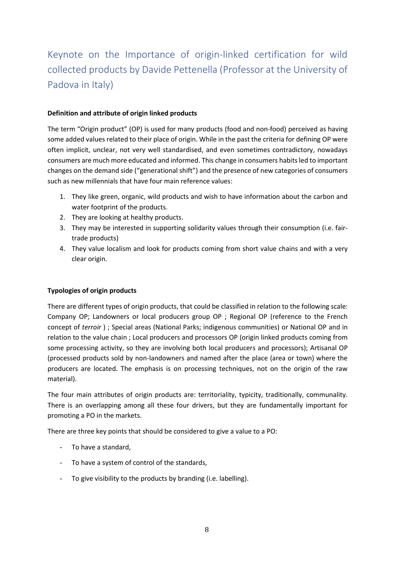# <span id="page-7-0"></span>Keynote on the Importance of origin-linked certification for wild collected products by Davide Pettenella (Professor at the University of Padova in Italy)

#### **Definition and attribute of origin linked products**

The term "Origin product" (OP) is used for many products (food and non-food) perceived as having some added values related to their place of origin. While in the past the criteria for defining OP were often implicit, unclear, not very well standardised, and even sometimes contradictory, nowadays consumers are much more educated and informed. This change in consumers habitsled to important changes on the demand side ("generational shift") and the presence of new categories of consumers such as new millennials that have four main reference values:

- 1. They like green, organic, wild products and wish to have information about the carbon and water footprint of the products.
- 2. They are looking at healthy products.
- 3. They may be interested in supporting solidarity values through their consumption (i.e. fairtrade products)
- 4. They value localism and look for products coming from short value chains and with a very clear origin.

#### **Typologies of origin products**

There are different types of origin products, that could be classified in relation to the following scale: Company OP; Landowners or local producers group OP ; Regional OP (reference to the French concept of *terroir* ) ; Special areas (National Parks; indigenous communities) or National OP and in relation to the value chain ; Local producers and processors OP (origin linked products coming from some processing activity, so they are involving both local producers and processors); Artisanal OP (processed products sold by non-landowners and named after the place (area or town) where the producers are located. The emphasis is on processing techniques, not on the origin of the raw material).

The four main attributes of origin products are: territoriality, typicity, traditionally, communality. There is an overlapping among all these four drivers, but they are fundamentally important for promoting a PO in the markets.

There are three key points that should be considered to give a value to a PO:

- To have a standard,
- To have a system of control of the standards,
- To give visibility to the products by branding (i.e. labelling).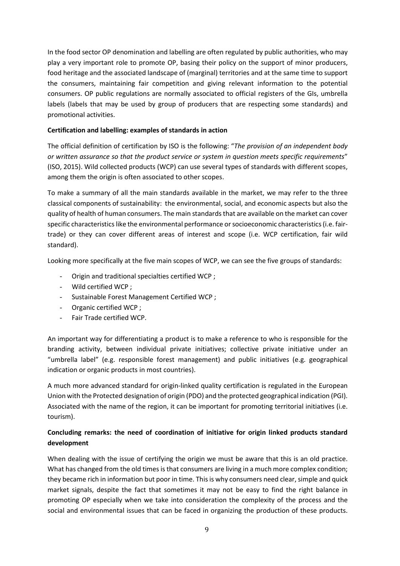In the food sector OP denomination and labelling are often regulated by public authorities, who may play a very important role to promote OP, basing their policy on the support of minor producers, food heritage and the associated landscape of (marginal) territories and at the same time to support the consumers, maintaining fair competition and giving relevant information to the potential consumers. OP public regulations are normally associated to official registers of the GIs, umbrella labels (labels that may be used by group of producers that are respecting some standards) and promotional activities.

#### **Certification and labelling: examples of standards in action**

The official definition of certification by ISO is the following: "*The provision of an independent body or written assurance so that the product service or system in question meets specific requirements*" (ISO, 2015). Wild collected products (WCP) can use several types of standards with different scopes, among them the origin is often associated to other scopes.

To make a summary of all the main standards available in the market, we may refer to the three classical components of sustainability: the environmental, social, and economic aspects but also the quality of health of human consumers. The main standards that are available on the market can cover specific characteristics like the environmental performance or socioeconomic characteristics (i.e. fairtrade) or they can cover different areas of interest and scope (i.e. WCP certification, fair wild standard).

Looking more specifically at the five main scopes of WCP, we can see the five groups of standards:

- Origin and traditional specialties certified WCP ;
- Wild certified WCP ;
- Sustainable Forest Management Certified WCP ;
- Organic certified WCP ;
- Fair Trade certified WCP.

An important way for differentiating a product is to make a reference to who is responsible for the branding activity, between individual private initiatives; collective private initiative under an "umbrella label" (e.g. responsible forest management) and public initiatives (e.g. geographical indication or organic products in most countries).

A much more advanced standard for origin-linked quality certification is regulated in the European Union with the Protected designation of origin (PDO) and the protected geographical indication (PGI). Associated with the name of the region, it can be important for promoting territorial initiatives (i.e. tourism).

#### **Concluding remarks: the need of coordination of initiative for origin linked products standard development**

When dealing with the issue of certifying the origin we must be aware that this is an old practice. What has changed from the old times is that consumers are living in a much more complex condition; they became rich in information but poor in time. This is why consumers need clear, simple and quick market signals, despite the fact that sometimes it may not be easy to find the right balance in promoting OP especially when we take into consideration the complexity of the process and the social and environmental issues that can be faced in organizing the production of these products.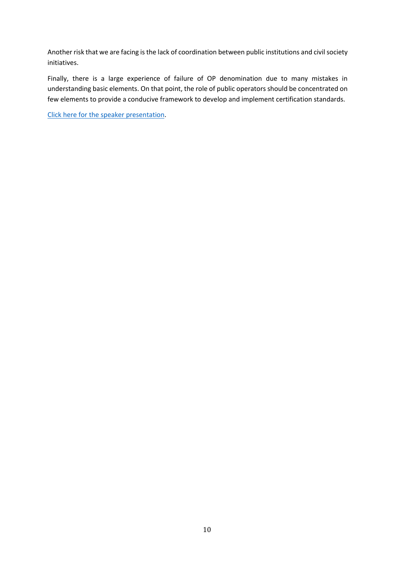Another risk that we are facing is the lack of coordination between public institutions and civil society initiatives.

Finally, there is a large experience of failure of OP denomination due to many mistakes in understanding basic elements. On that point, the role of public operators should be concentrated on few elements to provide a conducive framework to develop and implement certification standards.

[Click here for the speaker presentation.](https://www.origin-gi.com/images/stories/PDFs/English/PPT/oriGIn-FAO_Series_of_webinars_2020-PPT/Pettenella-FAO_GI_Branding_wild_forest_products_1.pdf)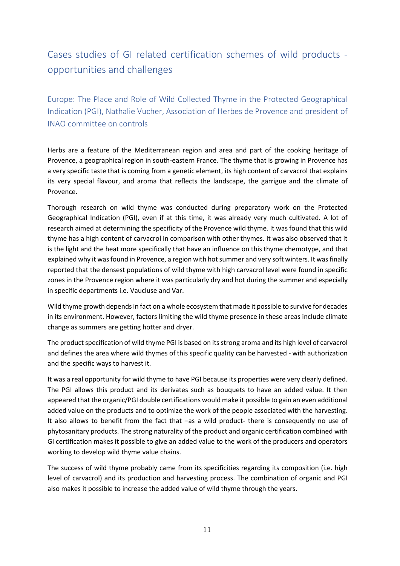## <span id="page-10-0"></span>Cases studies of GI related certification schemes of wild products opportunities and challenges

<span id="page-10-1"></span>Europe: The Place and Role of Wild Collected Thyme in the Protected Geographical Indication (PGI), Nathalie Vucher, Association of Herbes de Provence and president of INAO committee on controls

Herbs are a feature of the Mediterranean region and area and part of the cooking heritage of Provence, a geographical region in south-eastern France. The thyme that is growing in Provence has a very specific taste that is coming from a genetic element, its high content of carvacrol that explains its very special flavour, and aroma that reflects the landscape, the garrigue and the climate of Provence.

Thorough research on wild thyme was conducted during preparatory work on the Protected Geographical Indication (PGI), even if at this time, it was already very much cultivated. A lot of research aimed at determining the specificity of the Provence wild thyme. It was found that this wild thyme has a high content of carvacrol in comparison with other thymes. It was also observed that it is the light and the heat more specifically that have an influence on this thyme chemotype, and that explained why it was found in Provence, a region with hot summer and very soft winters. It was finally reported that the densest populations of wild thyme with high carvacrol level were found in specific zones in the Provence region where it was particularly dry and hot during the summer and especially in specific departments i.e. Vaucluse and Var.

Wild thyme growth depends in fact on a whole ecosystem that made it possible to survive for decades in its environment. However, factors limiting the wild thyme presence in these areas include climate change as summers are getting hotter and dryer.

The product specification of wild thyme PGI is based on its strong aroma and its high level of carvacrol and defines the area where wild thymes of this specific quality can be harvested - with authorization and the specific ways to harvest it.

It was a real opportunity for wild thyme to have PGI because its properties were very clearly defined. The PGI allows this product and its derivates such as bouquets to have an added value. It then appeared that the organic/PGI double certifications would make it possible to gain an even additional added value on the products and to optimize the work of the people associated with the harvesting. It also allows to benefit from the fact that –as a wild product- there is consequently no use of phytosanitary products. The strong naturality of the product and organic certification combined with GI certification makes it possible to give an added value to the work of the producers and operators working to develop wild thyme value chains.

The success of wild thyme probably came from its specificities regarding its composition (i.e. high level of carvacrol) and its production and harvesting process. The combination of organic and PGI also makes it possible to increase the added value of wild thyme through the years.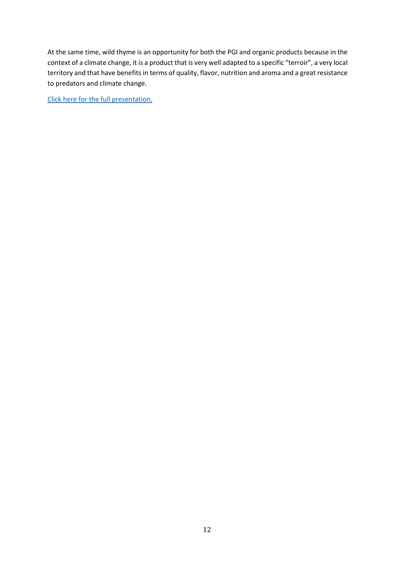At the same time, wild thyme is an opportunity for both the PGI and organic products because in the context of a climate change, it is a product that is very well adapted to a specific "terroir", a very local territory and that have benefits in terms of quality, flavor, nutrition and aroma and a great resistance to predators and climate change.

[Click here for the full presentation.](https://www.origin-gi.com/images/stories/PDFs/English/PPT/oriGIn-FAO_Series_of_webinars_2020-PPT/Nathalie_Vucher-Pr%C3%A9sentation_OriGIn_FAO_Wild_Thyme_PGI_1.pdf)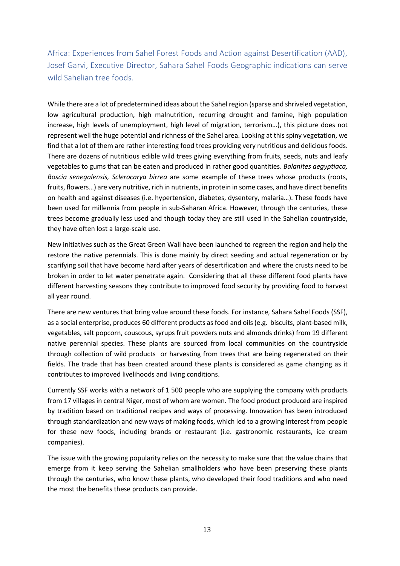<span id="page-12-0"></span>Africa: Experiences from Sahel Forest Foods and Action against Desertification (AAD), Josef Garvi, Executive Director, Sahara Sahel Foods Geographic indications can serve wild Sahelian tree foods.

While there are a lot of predetermined ideas about the Sahel region (sparse and shriveled vegetation, low agricultural production, high malnutrition, recurring drought and famine, high population increase, high levels of unemployment, high level of migration, terrorism…), this picture does not represent well the huge potential and richness of the Sahel area. Looking at this spiny vegetation, we find that a lot of them are rather interesting food trees providing very nutritious and delicious foods. There are dozens of nutritious edible wild trees giving everything from fruits, seeds, nuts and leafy vegetables to gums that can be eaten and produced in rather good quantities. *Balanites aegyptiaca, Boscia senegalensis, Sclerocarya birrea* are some example of these trees whose products (roots, fruits, flowers…) are very nutritive, rich in nutrients, in protein in some cases, and have direct benefits on health and against diseases (i.e. hypertension, diabetes, dysentery, malaria…). These foods have been used for millennia from people in sub-Saharan Africa. However, through the centuries, these trees become gradually less used and though today they are still used in the Sahelian countryside, they have often lost a large-scale use.

New initiatives such as the Great Green Wall have been launched to regreen the region and help the restore the native perennials. This is done mainly by direct seeding and actual regeneration or by scarifying soil that have become hard after years of desertification and where the crusts need to be broken in order to let water penetrate again. Considering that all these different food plants have different harvesting seasons they contribute to improved food security by providing food to harvest all year round.

There are new ventures that bring value around these foods. For instance, Sahara Sahel Foods (SSF), as a social enterprise, produces 60 different products as food and oils(e.g. biscuits, plant-based milk, vegetables, salt popcorn, couscous, syrups fruit powders nuts and almonds drinks) from 19 different native perennial species. These plants are sourced from local communities on the countryside through collection of wild products or harvesting from trees that are being regenerated on their fields. The trade that has been created around these plants is considered as game changing as it contributes to improved livelihoods and living conditions.

Currently SSF works with a network of 1 500 people who are supplying the company with products from 17 villages in central Niger, most of whom are women. The food product produced are inspired by tradition based on traditional recipes and ways of processing. Innovation has been introduced through standardization and new ways of making foods, which led to a growing interest from people for these new foods, including brands or restaurant (i.e. gastronomic restaurants, ice cream companies).

The issue with the growing popularity relies on the necessity to make sure that the value chains that emerge from it keep serving the Sahelian smallholders who have been preserving these plants through the centuries, who know these plants, who developed their food traditions and who need the most the benefits these products can provide.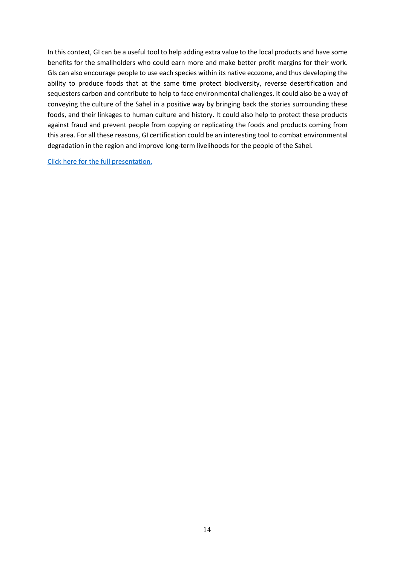In this context, GI can be a useful tool to help adding extra value to the local products and have some benefits for the smallholders who could earn more and make better profit margins for their work. GIs can also encourage people to use each species within its native ecozone, and thus developing the ability to produce foods that at the same time protect biodiversity, reverse desertification and sequesters carbon and contribute to help to face environmental challenges. It could also be a way of conveying the culture of the Sahel in a positive way by bringing back the stories surrounding these foods, and their linkages to human culture and history. It could also help to protect these products against fraud and prevent people from copying or replicating the foods and products coming from this area. For all these reasons, GI certification could be an interesting tool to combat environmental degradation in the region and improve long-term livelihoods for the people of the Sahel.

[Click here for the full presentation.](https://www.origin-gi.com/images/stories/PDFs/English/PPT/oriGIn-FAO_Series_of_webinars_2020-PPT/Josef_Garvi_-_2020-11_How_Geographic_Indications_can_serve_Wild_Sahelian_Tree_Foods.pdf)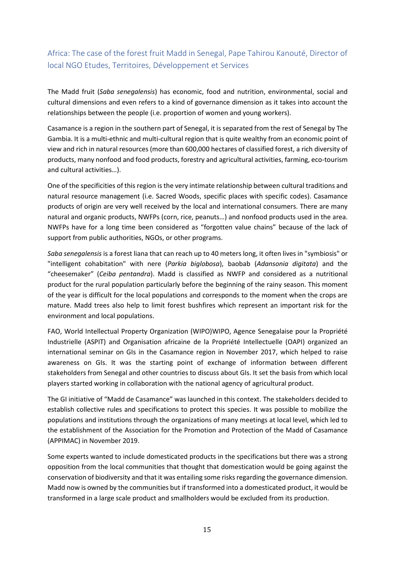### <span id="page-14-0"></span>Africa: The case of the forest fruit Madd in Senegal, Pape Tahirou Kanouté, Director of local NGO Etudes, Territoires, Développement et Services

The Madd fruit (*Saba senegalensis*) has economic, food and nutrition, environmental, social and cultural dimensions and even refers to a kind of governance dimension as it takes into account the relationships between the people (i.e. proportion of women and young workers).

Casamance is a region in the southern part of Senegal, it is separated from the rest of Senegal by The Gambia. It is a multi-ethnic and multi-cultural region that is quite wealthy from an economic point of view and rich in natural resources (more than 600,000 hectares of classified forest, a rich diversity of products, many nonfood and food products, forestry and agricultural activities, farming, eco-tourism and cultural activities…).

One of the specificities of this region is the very intimate relationship between cultural traditions and natural resource management (i.e. Sacred Woods, specific places with specific codes). Casamance products of origin are very well received by the local and international consumers. There are many natural and organic products, NWFPs (corn, rice, peanuts…) and nonfood products used in the area. NWFPs have for a long time been considered as "forgotten value chains" because of the lack of support from public authorities, NGOs, or other programs.

*Saba senegalensis* is a forest liana that can reach up to 40 meters long, it often lives in "symbiosis" or "intelligent cohabitation" with nere (*Parkia biglobosa*), baobab (*Adansonia digitata*) and the "cheesemaker" (*Ceiba pentandra*). Madd is classified as NWFP and considered as a nutritional product for the rural population particularly before the beginning of the rainy season. This moment of the year is difficult for the local populations and corresponds to the moment when the crops are mature. Madd trees also help to limit forest bushfires which represent an important risk for the environment and local populations.

FAO, World Intellectual Property Organization (WIPO)WIPO, Agence Senegalaise pour la Propriété Industrielle (ASPIT) and Organisation africaine de la Propriété Intellectuelle (OAPI) organized an international seminar on GIs in the Casamance region in November 2017, which helped to raise awareness on GIs. It was the starting point of exchange of information between different stakeholders from Senegal and other countries to discuss about GIs. It set the basis from which local players started working in collaboration with the national agency of agricultural product.

The GI initiative of "Madd de Casamance" was launched in this context. The stakeholders decided to establish collective rules and specifications to protect this species. It was possible to mobilize the populations and institutions through the organizations of many meetings at local level, which led to the establishment of the Association for the Promotion and Protection of the Madd of Casamance (APPIMAC) in November 2019.

Some experts wanted to include domesticated products in the specifications but there was a strong opposition from the local communities that thought that domestication would be going against the conservation of biodiversity and that it was entailing some risks regarding the governance dimension. Madd now is owned by the communities but if transformed into a domesticated product, it would be transformed in a large scale product and smallholders would be excluded from its production.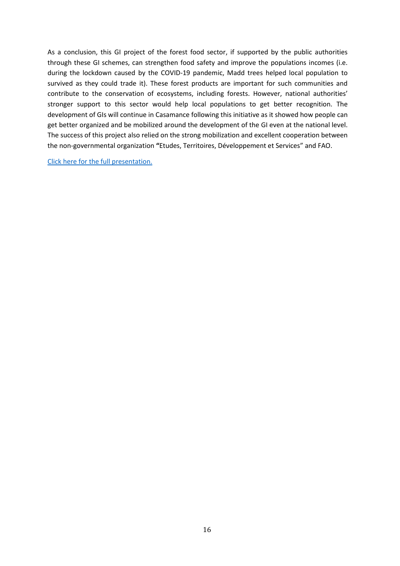As a conclusion, this GI project of the forest food sector, if supported by the public authorities through these GI schemes, can strengthen food safety and improve the populations incomes (i.e. during the lockdown caused by the COVID-19 pandemic, Madd trees helped local population to survived as they could trade it). These forest products are important for such communities and contribute to the conservation of ecosystems, including forests. However, national authorities' stronger support to this sector would help local populations to get better recognition. The development of GIs will continue in Casamance following this initiative as it showed how people can get better organized and be mobilized around the development of the GI even at the national level. The success of this project also relied on the strong mobilization and excellent cooperation between the non-governmental organization **"**Etudes, Territoires, Développement et Services" and FAO.

[Click here for the full presentation.](https://www.origin-gi.com/images/stories/PDFs/English/PPT/oriGIn-FAO_Series_of_webinars_2020-PPT/Pape_Tahirou_KANOUTE-Pr%C3%A9sentation-Wild_product-Madd_de_Casamance-EN.pdf)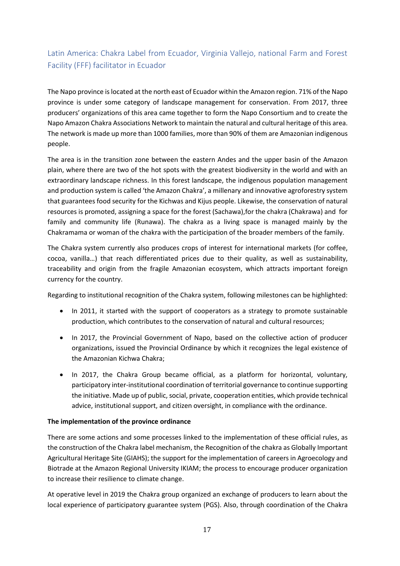### <span id="page-16-0"></span>Latin America: Chakra Label from Ecuador, Virginia Vallejo, national Farm and Forest Facility (FFF) facilitator in Ecuador

The Napo province islocated at the north east of Ecuador within the Amazon region. 71% of the Napo province is under some category of landscape management for conservation. From 2017, three producers' organizations of this area came together to form the Napo Consortium and to create the Napo Amazon Chakra Associations Network to maintain the natural and cultural heritage of this area. The network is made up more than 1000 families, more than 90% of them are Amazonian indigenous people.

The area is in the transition zone between the eastern Andes and the upper basin of the Amazon plain, where there are two of the hot spots with the greatest biodiversity in the world and with an extraordinary landscape richness. In this forest landscape, the indigenous population management and production system is called 'the Amazon Chakra', a millenary and innovative agroforestry system that guarantees food security for the Kichwas and Kijus people. Likewise, the conservation of natural resources is promoted, assigning a space for the forest (Sachawa),for the chakra (Chakrawa) and for family and community life (Runawa). The chakra as a living space is managed mainly by the Chakramama or woman of the chakra with the participation of the broader members of the family.

The Chakra system currently also produces crops of interest for international markets (for coffee, cocoa, vanilla…) that reach differentiated prices due to their quality, as well as sustainability, traceability and origin from the fragile Amazonian ecosystem, which attracts important foreign currency for the country.

Regarding to institutional recognition of the Chakra system, following milestones can be highlighted:

- In 2011, it started with the support of cooperators as a strategy to promote sustainable production, which contributes to the conservation of natural and cultural resources;
- In 2017, the Provincial Government of Napo, based on the collective action of producer organizations, issued the Provincial Ordinance by which it recognizes the legal existence of the Amazonian Kichwa Chakra;
- In 2017, the Chakra Group became official, as a platform for horizontal, voluntary, participatory inter-institutional coordination of territorial governance to continue supporting the initiative. Made up of public, social, private, cooperation entities, which provide technical advice, institutional support, and citizen oversight, in compliance with the ordinance.

#### **The implementation of the province ordinance**

There are some actions and some processes linked to the implementation of these official rules, as the construction of the Chakra label mechanism, the Recognition of the chakra as Globally Important Agricultural Heritage Site (GIAHS); the support for the implementation of careers in Agroecology and Biotrade at the Amazon Regional University IKIAM; the process to encourage producer organization to increase their resilience to climate change.

At operative level in 2019 the Chakra group organized an exchange of producers to learn about the local experience of participatory guarantee system (PGS). Also, through coordination of the Chakra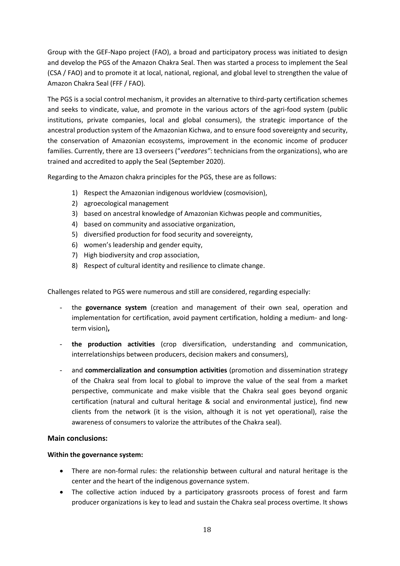Group with the GEF-Napo project (FAO), a broad and participatory process was initiated to design and develop the PGS of the Amazon Chakra Seal. Then was started a process to implement the Seal (CSA / FAO) and to promote it at local, national, regional, and global level to strengthen the value of Amazon Chakra Seal (FFF / FAO).

The PGS is a social control mechanism, it provides an alternative to third-party certification schemes and seeks to vindicate, value, and promote in the various actors of the agri-food system (public institutions, private companies, local and global consumers), the strategic importance of the ancestral production system of the Amazonian Kichwa, and to ensure food sovereignty and security, the conservation of Amazonian ecosystems, improvement in the economic income of producer families. Currently, there are 13 overseers ("*veedores"*: technicians from the organizations), who are trained and accredited to apply the Seal (September 2020).

Regarding to the Amazon chakra principles for the PGS, these are as follows:

- 1) Respect the Amazonian indigenous worldview (cosmovision),
- 2) agroecological management
- 3) based on ancestral knowledge of Amazonian Kichwas people and communities,
- 4) based on community and associative organization,
- 5) diversified production for food security and sovereignty,
- 6) women's leadership and gender equity,
- 7) High biodiversity and crop association,
- 8) Respect of cultural identity and resilience to climate change.

Challenges related to PGS were numerous and still are considered, regarding especially:

- the **governance system** (creation and management of their own seal, operation and implementation for certification, avoid payment certification, holding a medium- and longterm vision)**,**
- **the production activities** (crop diversification, understanding and communication, interrelationships between producers, decision makers and consumers),
- and **commercialization and consumption activities** (promotion and dissemination strategy of the Chakra seal from local to global to improve the value of the seal from a market perspective, communicate and make visible that the Chakra seal goes beyond organic certification (natural and cultural heritage & social and environmental justice), find new clients from the network (it is the vision, although it is not yet operational), raise the awareness of consumers to valorize the attributes of the Chakra seal).

#### **Main conclusions:**

#### **Within the governance system:**

- There are non-formal rules: the relationship between cultural and natural heritage is the center and the heart of the indigenous governance system.
- The collective action induced by a participatory grassroots process of forest and farm producer organizations is key to lead and sustain the Chakra seal process overtime. It shows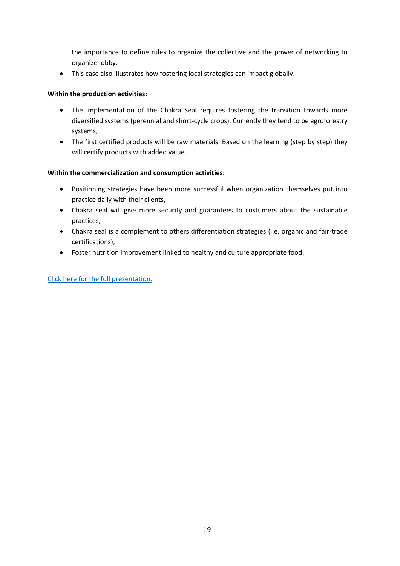the importance to define rules to organize the collective and the power of networking to organize lobby.

• This case also illustrates how fostering local strategies can impact globally.

#### **Within the production activities:**

- The implementation of the Chakra Seal requires fostering the transition towards more diversified systems (perennial and short-cycle crops). Currently they tend to be agroforestry systems,
- The first certified products will be raw materials. Based on the learning (step by step) they will certify products with added value.

#### **Within the commercialization and consumption activities:**

- Positioning strategies have been more successful when organization themselves put into practice daily with their clients,
- Chakra seal will give more security and guarantees to costumers about the sustainable practices,
- Chakra seal is a complement to others differentiation strategies (i.e. organic and fair-trade certifications),
- Foster nutrition improvement linked to healthy and culture appropriate food.

[Click here for the full presentation.](https://www.origin-gi.com/images/stories/PDFs/English/PPT/oriGIn-FAO_Series_of_webinars_2020-PPT/Virginia_Vallejo-Chakra_Label_of_Ecuador_-_FINAL.pdf)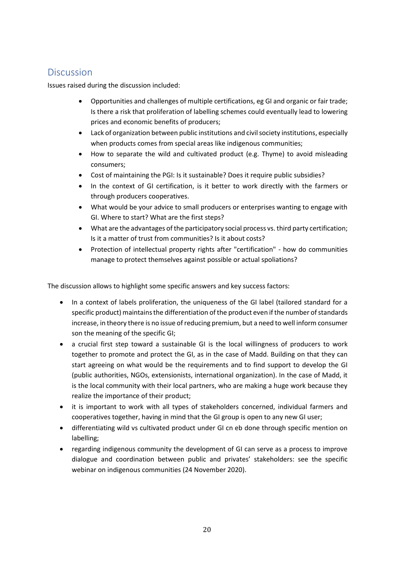### <span id="page-19-0"></span>**Discussion**

Issues raised during the discussion included:

- Opportunities and challenges of multiple certifications, eg GI and organic or fair trade; Is there a risk that proliferation of labelling schemes could eventually lead to lowering prices and economic benefits of producers;
- Lack of organization between public institutions and civil society institutions, especially when products comes from special areas like indigenous communities;
- How to separate the wild and cultivated product (e.g. Thyme) to avoid misleading consumers;
- Cost of maintaining the PGI: Is it sustainable? Does it require public subsidies?
- In the context of GI certification, is it better to work directly with the farmers or through producers cooperatives.
- What would be your advice to small producers or enterprises wanting to engage with GI. Where to start? What are the first steps?
- What are the advantages of the participatory social process vs. third party certification; Is it a matter of trust from communities? Is it about costs?
- Protection of intellectual property rights after "certification" how do communities manage to protect themselves against possible or actual spoliations?

The discussion allows to highlight some specific answers and key success factors:

- In a context of labels proliferation, the uniqueness of the GI label (tailored standard for a specific product) maintainsthe differentiation of the product even if the number of standards increase, in theory there is no issue of reducing premium, but a need to well inform consumer son the meaning of the specific GI;
- a crucial first step toward a sustainable GI is the local willingness of producers to work together to promote and protect the GI, as in the case of Madd. Building on that they can start agreeing on what would be the requirements and to find support to develop the GI (public authorities, NGOs, extensionists, international organization). In the case of Madd, it is the local community with their local partners, who are making a huge work because they realize the importance of their product;
- it is important to work with all types of stakeholders concerned, individual farmers and cooperatives together, having in mind that the GI group is open to any new GI user;
- differentiating wild vs cultivated product under GI cn eb done through specific mention on labelling;
- regarding indigenous community the development of GI can serve as a process to improve dialogue and coordination between public and privates' stakeholders: see the specific webinar on indigenous communities (24 November 2020).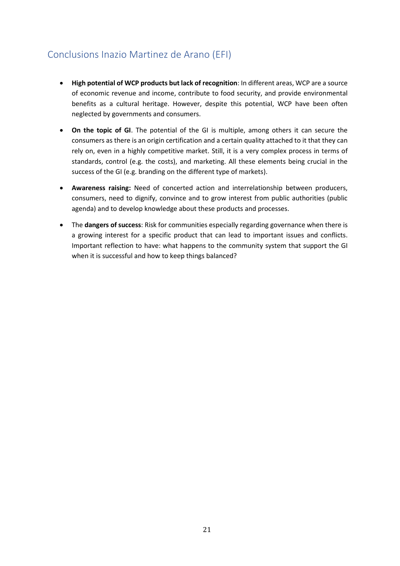### <span id="page-20-0"></span>Conclusions Inazio Martinez de Arano (EFI)

- **High potential of WCP products but lack of recognition**: In different areas, WCP are a source of economic revenue and income, contribute to food security, and provide environmental benefits as a cultural heritage. However, despite this potential, WCP have been often neglected by governments and consumers.
- **On the topic of GI**. The potential of the GI is multiple, among others it can secure the consumers as there is an origin certification and a certain quality attached to it that they can rely on, even in a highly competitive market. Still, it is a very complex process in terms of standards, control (e.g. the costs), and marketing. All these elements being crucial in the success of the GI (e.g. branding on the different type of markets).
- **Awareness raising:** Need of concerted action and interrelationship between producers, consumers, need to dignify, convince and to grow interest from public authorities (public agenda) and to develop knowledge about these products and processes.
- The **dangers of success**: Risk for communities especially regarding governance when there is a growing interest for a specific product that can lead to important issues and conflicts. Important reflection to have: what happens to the community system that support the GI when it is successful and how to keep things balanced?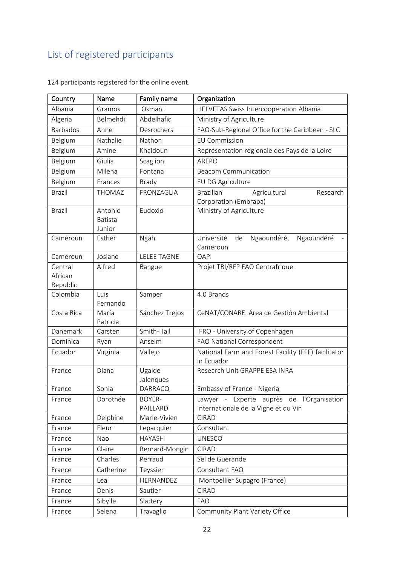# <span id="page-21-0"></span>List of registered participants

| Country                        | Name                                | Family name         | Organization                                                                      |
|--------------------------------|-------------------------------------|---------------------|-----------------------------------------------------------------------------------|
| Albania                        | Gramos                              | Osmani              | HELVETAS Swiss Intercooperation Albania                                           |
| Algeria                        | Belmehdi                            | Abdelhafid          | Ministry of Agriculture                                                           |
| <b>Barbados</b>                | Anne                                | Desrochers          | FAO-Sub-Regional Office for the Caribbean - SLC                                   |
| Belgium                        | Nathalie                            | Nathon              | <b>EU Commission</b>                                                              |
| Belgium                        | Amine                               | Khaldoun            | Représentation régionale des Pays de la Loire                                     |
| Belgium                        | Giulia                              | Scaglioni           | AREPO                                                                             |
| Belgium                        | Milena                              | Fontana             | <b>Beacom Communication</b>                                                       |
| Belgium                        | Frances                             | <b>Brady</b>        | EU DG Agriculture                                                                 |
| <b>Brazil</b>                  | <b>THOMAZ</b>                       | FRONZAGLIA          | <b>Brazilian</b><br>Agricultural<br>Research<br>Corporation (Embrapa)             |
| <b>Brazil</b>                  | Antonio<br><b>Batista</b><br>Junior | Eudoxio             | Ministry of Agriculture                                                           |
| Cameroun                       | Esther                              | Ngah                | Université<br>de<br>Ngaoundéré,<br>Ngaoundéré<br>Cameroun                         |
| Cameroun                       | Josiane                             | <b>LELEE TAGNE</b>  | <b>OAPI</b>                                                                       |
| Central<br>African<br>Republic | Alfred                              | Bangue              | Projet TRI/RFP FAO Centrafrique                                                   |
| Colombia                       | Luis<br>Fernando                    | Samper              | 4.0 Brands                                                                        |
| Costa Rica                     | María<br>Patricia                   | Sánchez Trejos      | CeNAT/CONARE. Área de Gestión Ambiental                                           |
| Danemark                       | Carsten                             | Smith-Hall          | IFRO - University of Copenhagen                                                   |
| Dominica                       | Ryan                                | Anselm              | FAO National Correspondent                                                        |
| Ecuador                        | Virginia                            | Vallejo             | National Farm and Forest Facility (FFF) facilitator<br>in Ecuador                 |
| France                         | Diana                               | Ugalde<br>Jalenques | Research Unit GRAPPE ESA INRA                                                     |
| France                         | Sonia                               | <b>DARRACQ</b>      | Embassy of France - Nigeria                                                       |
| France                         | Dorothée                            | BOYER-<br>PAILLARD  | Lawyer - Experte auprès de l'Organisation<br>Internationale de la Vigne et du Vin |
| France                         | Delphine                            | Marie-Vivien        | <b>CIRAD</b>                                                                      |
| France                         | Fleur                               | Leparquier          | Consultant                                                                        |
| France                         | Nao                                 | <b>HAYASHI</b>      | <b>UNESCO</b>                                                                     |
| France                         | Claire                              | Bernard-Mongin      | <b>CIRAD</b>                                                                      |
| France                         | Charles                             | Perraud             | Sel de Guerande                                                                   |
| France                         | Catherine                           | Teyssier            | Consultant FAO                                                                    |
| France                         | Lea                                 | HERNANDEZ           | Montpellier Supagro (France)                                                      |
| France                         | Denis                               | Sautier             | <b>CIRAD</b>                                                                      |
| France                         | Sibylle                             | Slattery            | <b>FAO</b>                                                                        |
| France                         | Selena                              | Travaglio           | Community Plant Variety Office                                                    |

124 participants registered for the online event.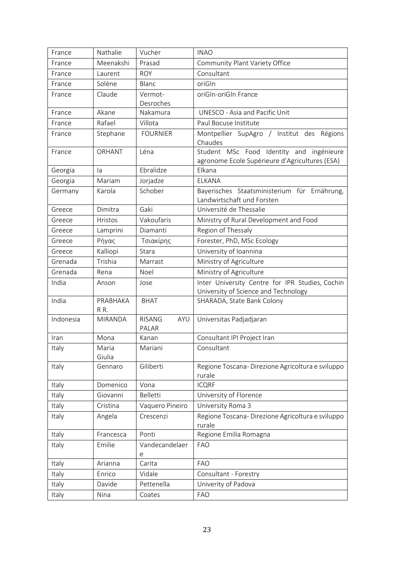| France    | Nathalie        | Vucher                        | <b>INAO</b>                                                                                |
|-----------|-----------------|-------------------------------|--------------------------------------------------------------------------------------------|
| France    | Meenakshi       | Prasad                        | Community Plant Variety Office                                                             |
| France    | Laurent         | <b>ROY</b>                    | Consultant                                                                                 |
| France    | Solène          | Blanc                         | oriGIn                                                                                     |
| France    | Claude          | Vermot-<br>Desroches          | oriGIn-oriGIn France                                                                       |
| France    | Akane           | Nakamura                      | <b>UNESCO - Asia and Pacific Unit</b>                                                      |
| France    | Rafael          | Villota                       | Paul Bocuse Institute                                                                      |
| France    | Stephane        | <b>FOURNIER</b>               | Montpellier SupAgro / Institut des Régions<br>Chaudes                                      |
| France    | ORHANT          | Léna                          | Student MSc Food Identity and ingénieure<br>agronome Ecole Supérieure d'Agricultures (ESA) |
| Georgia   | la              | Ebralidze                     | Elkana                                                                                     |
| Georgia   | Mariam          | Jorjadze                      | <b>ELKANA</b>                                                                              |
| Germany   | Karola          | Schober                       | Bayerisches Staatsministerium für Ernährung,<br>Landwirtschaft und Forsten                 |
| Greece    | Dimitra         | Gaki                          | Université de Thessalie                                                                    |
| Greece    | Hristos         | Vakoufaris                    | Ministry of Rural Development and Food                                                     |
| Greece    | Lamprini        | Diamanti                      | Region of Thessaly                                                                         |
| Greece    | Ρήγας           | Τσιακίρης                     | Forester, PhD, MSc Ecology                                                                 |
| Greece    | Kalliopi        | Stara                         | University of Ioannina                                                                     |
| Grenada   | Trishia         | Marrast                       | Ministry of Agriculture                                                                    |
| Grenada   | Rena            | Noel                          | Ministry of Agriculture                                                                    |
| India     | Anson           | Jose                          | Inter University Centre for IPR Studies, Cochin<br>University of Science and Technology    |
| India     | PRABHAKA<br>RR. | <b>BHAT</b>                   | SHARADA, State Bank Colony                                                                 |
| Indonesia | <b>MIRANDA</b>  | <b>RISANG</b><br>AYU<br>PALAR | Universitas Padjadjaran                                                                    |
| Iran      | Mona            | Kanan                         | Consultant IPI Project Iran                                                                |
| Italy     | Maria<br>Giulia | Mariani                       | Consultant                                                                                 |
| Italy     | Gennaro         | Giliberti                     | Regione Toscana-Direzione Agricoltura e sviluppo<br>rurale                                 |
| Italy     | Domenico        | Vona                          | <b>ICQRF</b>                                                                               |
| Italy     | Giovanni        | Belletti                      | University of Florence                                                                     |
| Italy     | Cristina        | Vaquero Pineiro               | University Roma 3                                                                          |
| Italy     | Angela          | Crescenzi                     | Regione Toscana- Direzione Agricoltura e sviluppo<br>rurale                                |
| Italy     | Francesca       | Ponti                         | Regione Emilia Romagna                                                                     |
| Italy     | Emilie          | Vandecandelaer<br>e           | <b>FAO</b>                                                                                 |
| Italy     | Arianna         | Carita                        | <b>FAO</b>                                                                                 |
| Italy     | Enrico          | Vidale                        | Consultant - Forestry                                                                      |
| Italy     | Davide          | Pettenella                    | Univerity of Padova                                                                        |
| Italy     | Nina            | Coates                        | <b>FAO</b>                                                                                 |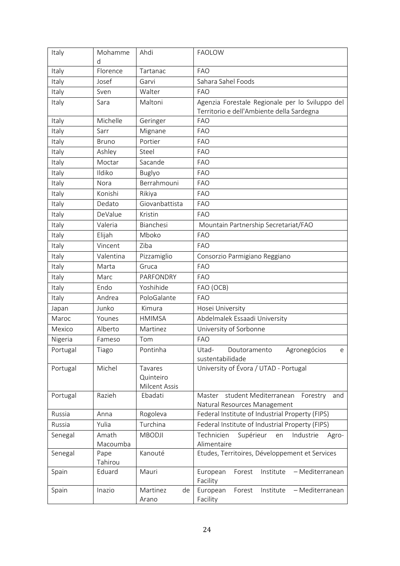| Italy    | Mohamme<br>d    | Ahdi                     | <b>FAOLOW</b>                                                  |
|----------|-----------------|--------------------------|----------------------------------------------------------------|
| Italy    | Florence        | Tartanac                 | <b>FAO</b>                                                     |
| Italy    | Josef           | Garvi                    | Sahara Sahel Foods                                             |
| Italy    | Sven            | Walter                   | <b>FAO</b>                                                     |
| Italy    | Sara            | Maltoni                  | Agenzia Forestale Regionale per lo Sviluppo del                |
|          |                 |                          | Territorio e dell'Ambiente della Sardegna                      |
| Italy    | Michelle        | Geringer                 | <b>FAO</b>                                                     |
| Italy    | Sarr            | Mignane                  | <b>FAO</b>                                                     |
| Italy    | <b>Bruno</b>    | Portier                  | <b>FAO</b>                                                     |
| Italy    | Ashley          | Steel                    | <b>FAO</b>                                                     |
| Italy    | Moctar          | Sacande                  | <b>FAO</b>                                                     |
| Italy    | Ildiko          | <b>Buglyo</b>            | <b>FAO</b>                                                     |
| Italy    | Nora            | Berrahmouni              | <b>FAO</b>                                                     |
| Italy    | Konishi         | Rikiya                   | <b>FAO</b>                                                     |
| Italy    | Dedato          | Giovanbattista           | <b>FAO</b>                                                     |
| Italy    | DeValue         | Kristin                  | <b>FAO</b>                                                     |
| Italy    | Valeria         | Bianchesi                | Mountain Partnership Secretariat/FAO                           |
| Italy    | Elijah          | Mboko                    | <b>FAO</b>                                                     |
| Italy    | Vincent         | Ziba                     | <b>FAO</b>                                                     |
| Italy    | Valentina       | Pizzamiglio              | Consorzio Parmigiano Reggiano                                  |
| Italy    | Marta           | Gruca                    | <b>FAO</b>                                                     |
| Italy    | Marc            | PARFONDRY                | <b>FAO</b>                                                     |
| Italy    | Endo            | Yoshihide                | FAO (OCB)                                                      |
| Italy    | Andrea          | PoloGalante              | <b>FAO</b>                                                     |
| Japan    | Junko           | Kimura                   | Hosei University                                               |
| Maroc    | Younes          | <b>HMIMSA</b>            | Abdelmalek Essaadi University                                  |
| Mexico   | Alberto         | Martinez                 | University of Sorbonne                                         |
| Nigeria  | Fameso          | Tom                      | <b>FAO</b>                                                     |
| Portugal | Tiago           | Pontinha                 | Agronegócios<br>Utad-<br>Doutoramento<br>e                     |
|          |                 |                          | sustentabilidade                                               |
| Portugal | Michel          | Tavares                  | University of Évora / UTAD - Portugal                          |
|          |                 | Quinteiro                |                                                                |
| Portugal | Razieh          | Milcent Assis<br>Ebadati | student Mediterranean<br>Forestry<br>Master<br>and             |
|          |                 |                          | Natural Resources Management                                   |
| Russia   | Anna            | Rogoleva                 | Federal Institute of Industrial Property (FIPS)                |
| Russia   | Yulia           | Turchina                 | Federal Institute of Industrial Property (FIPS)                |
| Senegal  | Amath           | <b>MBODJI</b>            | Technicien<br>Supérieur<br>en<br>Industrie<br>Agro-            |
|          | Macoumba        |                          | Alimentaire                                                    |
| Senegal  | Pape<br>Tahirou | Kanouté                  | Etudes, Territoires, Développement et Services                 |
| Spain    | Eduard          | Mauri                    | European<br>Forest<br>- Mediterranean<br>Institute<br>Facility |
| Spain    | Inazio          | Martinez<br>de<br>Arano  | European<br>- Mediterranean<br>Forest<br>Institute<br>Facility |